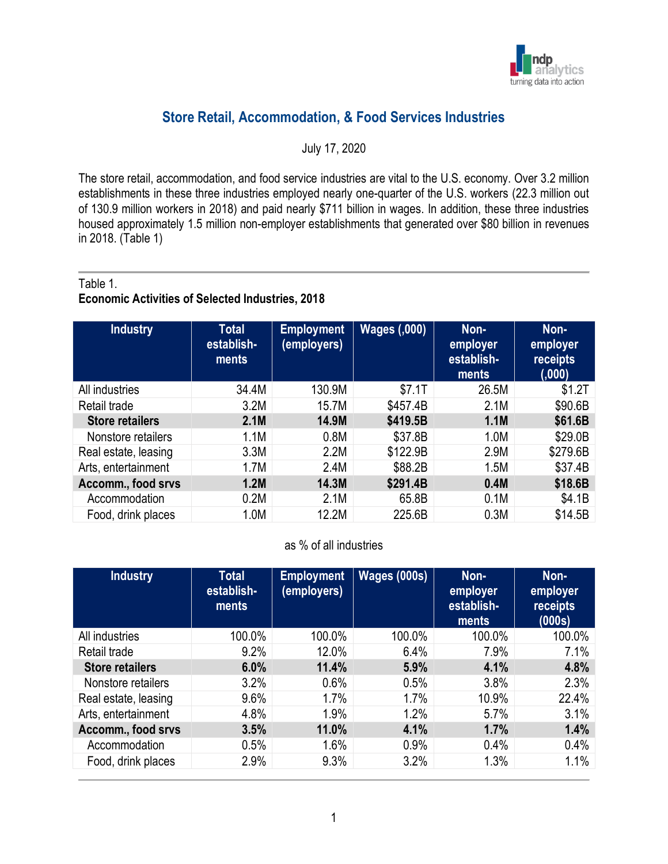

# **Store Retail, Accommodation, & Food Services Industries**

July 17, 2020

The store retail, accommodation, and food service industries are vital to the U.S. economy. Over 3.2 million establishments in these three industries employed nearly one-quarter of the U.S. workers (22.3 million out of 130.9 million workers in 2018) and paid nearly \$711 billion in wages. In addition, these three industries housed approximately 1.5 million non-employer establishments that generated over \$80 billion in revenues in 2018. (Table 1)

#### Table 1.

# **Economic Activities of Selected Industries, 2018**

| Industry               | <b>Total</b><br>establish-<br>ments | <b>Employment</b><br>(employers) | <b>Wages (,000)</b> | Non-<br>employer<br>establish-<br>ments | Non-<br>employer<br>receipts<br>(000) |
|------------------------|-------------------------------------|----------------------------------|---------------------|-----------------------------------------|---------------------------------------|
| All industries         | 34.4M                               | 130.9M                           | \$7.1T              | 26.5M                                   | \$1.2T                                |
| Retail trade           | 3.2M                                | 15.7M                            | \$457.4B            | 2.1M                                    | \$90.6B                               |
| <b>Store retailers</b> | 2.1M                                | 14.9M                            | \$419.5B            | 1.1M                                    | \$61.6B                               |
| Nonstore retailers     | 1.1M                                | 0.8M                             | \$37.8B             | 1.0M                                    | \$29.0B                               |
| Real estate, leasing   | 3.3M                                | 2.2M                             | \$122.9B            | 2.9M                                    | \$279.6B                              |
| Arts, entertainment    | 1.7M                                | 2.4M                             | \$88.2B             | 1.5M                                    | \$37.4B                               |
| Accomm., food srvs     | 1.2M                                | 14.3M                            | \$291.4B            | 0.4M                                    | \$18.6B                               |
| Accommodation          | 0.2M                                | 2.1M                             | 65.8B               | 0.1M                                    | \$4.1B                                |
| Food, drink places     | 1.0M                                | 12.2M                            | 225.6B              | 0.3M                                    | \$14.5B                               |

#### as % of all industries

| <b>Industry</b>        | <b>Total</b><br>establish-<br>ments | <b>Employment</b><br>(employers) | <b>Wages (000s)</b> | Non-<br>employer<br>establish-<br>ments | Non-<br>employer<br><b>receipts</b><br>(000s) |
|------------------------|-------------------------------------|----------------------------------|---------------------|-----------------------------------------|-----------------------------------------------|
| All industries         | 100.0%                              | 100.0%                           | 100.0%              | 100.0%                                  | 100.0%                                        |
| Retail trade           | 9.2%                                | 12.0%                            | 6.4%                | 7.9%                                    | 7.1%                                          |
| <b>Store retailers</b> | 6.0%                                | 11.4%                            | 5.9%                | 4.1%                                    | 4.8%                                          |
| Nonstore retailers     | 3.2%                                | 0.6%                             | 0.5%                | 3.8%                                    | 2.3%                                          |
| Real estate, leasing   | 9.6%                                | 1.7%                             | 1.7%                | 10.9%                                   | 22.4%                                         |
| Arts, entertainment    | 4.8%                                | 1.9%                             | 1.2%                | 5.7%                                    | 3.1%                                          |
| Accomm., food srvs     | 3.5%                                | 11.0%                            | 4.1%                | 1.7%                                    | 1.4%                                          |
| Accommodation          | 0.5%                                | 1.6%                             | 0.9%                | 0.4%                                    | 0.4%                                          |
| Food, drink places     | 2.9%                                | 9.3%                             | 3.2%                | 1.3%                                    | 1.1%                                          |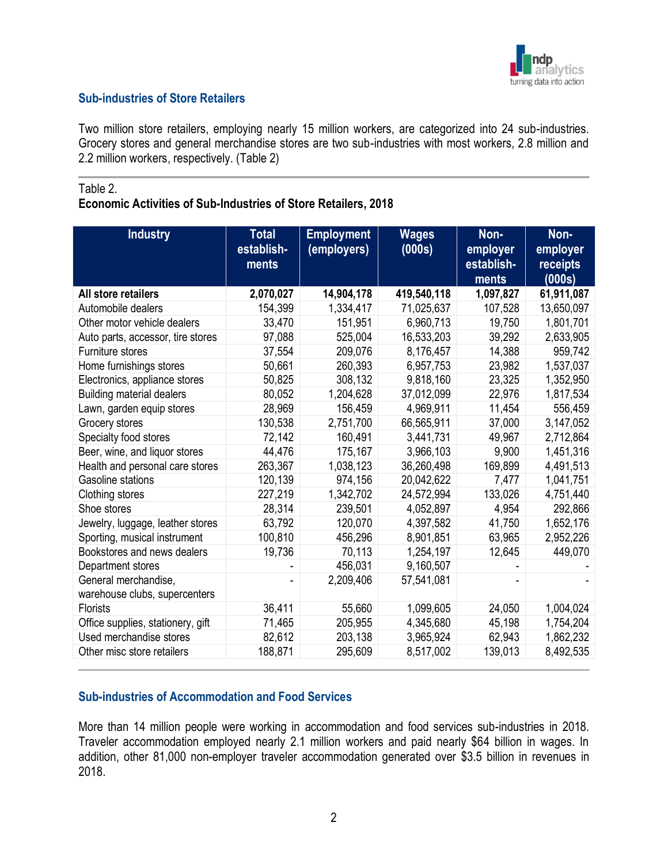

# **Sub-industries of Store Retailers**

Two million store retailers, employing nearly 15 million workers, are categorized into 24 sub-industries. Grocery stores and general merchandise stores are two sub-industries with most workers, 2.8 million and 2.2 million workers, respectively. (Table 2)

#### Table 2.

## **Economic Activities of Sub-Industries of Store Retailers, 2018**

| <b>Industry</b>                                       | <b>Total</b><br>establish-<br>ments | <b>Employment</b><br>(employers) | <b>Wages</b><br>(000s) | Non-<br>employer<br>establish-<br>ments | Non-<br>employer<br>receipts<br>(000s) |
|-------------------------------------------------------|-------------------------------------|----------------------------------|------------------------|-----------------------------------------|----------------------------------------|
| All store retailers                                   | 2,070,027                           | 14,904,178                       | 419,540,118            | 1,097,827                               | 61,911,087                             |
| Automobile dealers                                    | 154,399                             | 1,334,417                        | 71,025,637             | 107,528                                 | 13,650,097                             |
| Other motor vehicle dealers                           | 33,470                              | 151,951                          | 6,960,713              | 19,750                                  | 1,801,701                              |
| Auto parts, accessor, tire stores                     | 97,088                              | 525,004                          | 16,533,203             | 39,292                                  | 2,633,905                              |
| Furniture stores                                      | 37,554                              | 209,076                          | 8,176,457              | 14,388                                  | 959,742                                |
| Home furnishings stores                               | 50,661                              | 260,393                          | 6,957,753              | 23,982                                  | 1,537,037                              |
| Electronics, appliance stores                         | 50,825                              | 308,132                          | 9,818,160              | 23,325                                  | 1,352,950                              |
| <b>Building material dealers</b>                      | 80,052                              | 1,204,628                        | 37,012,099             | 22,976                                  | 1,817,534                              |
| Lawn, garden equip stores                             | 28,969                              | 156,459                          | 4,969,911              | 11,454                                  | 556,459                                |
| Grocery stores                                        | 130,538                             | 2,751,700                        | 66,565,911             | 37,000                                  | 3,147,052                              |
| Specialty food stores                                 | 72,142                              | 160,491                          | 3,441,731              | 49,967                                  | 2,712,864                              |
| Beer, wine, and liquor stores                         | 44,476                              | 175,167                          | 3,966,103              | 9,900                                   | 1,451,316                              |
| Health and personal care stores                       | 263,367                             | 1,038,123                        | 36,260,498             | 169,899                                 | 4,491,513                              |
| Gasoline stations                                     | 120,139                             | 974,156                          | 20,042,622             | 7,477                                   | 1,041,751                              |
| Clothing stores                                       | 227,219                             | 1,342,702                        | 24,572,994             | 133,026                                 | 4,751,440                              |
| Shoe stores                                           | 28,314                              | 239,501                          | 4,052,897              | 4,954                                   | 292,866                                |
| Jewelry, luggage, leather stores                      | 63,792                              | 120,070                          | 4,397,582              | 41,750                                  | 1,652,176                              |
| Sporting, musical instrument                          | 100,810                             | 456,296                          | 8,901,851              | 63,965                                  | 2,952,226                              |
| Bookstores and news dealers                           | 19,736                              | 70,113                           | 1,254,197              | 12,645                                  | 449,070                                |
| Department stores                                     |                                     | 456,031                          | 9,160,507              |                                         |                                        |
| General merchandise,<br>warehouse clubs, supercenters |                                     | 2,209,406                        | 57,541,081             |                                         |                                        |
| Florists                                              | 36,411                              | 55,660                           | 1,099,605              | 24,050                                  | 1,004,024                              |
| Office supplies, stationery, gift                     | 71,465                              | 205,955                          | 4,345,680              | 45,198                                  | 1,754,204                              |
| Used merchandise stores                               | 82,612                              | 203,138                          | 3,965,924              | 62,943                                  | 1,862,232                              |
| Other misc store retailers                            | 188,871                             | 295,609                          | 8,517,002              | 139,013                                 | 8,492,535                              |

# **Sub-industries of Accommodation and Food Services**

More than 14 million people were working in accommodation and food services sub-industries in 2018. Traveler accommodation employed nearly 2.1 million workers and paid nearly \$64 billion in wages. In addition, other 81,000 non-employer traveler accommodation generated over \$3.5 billion in revenues in 2018.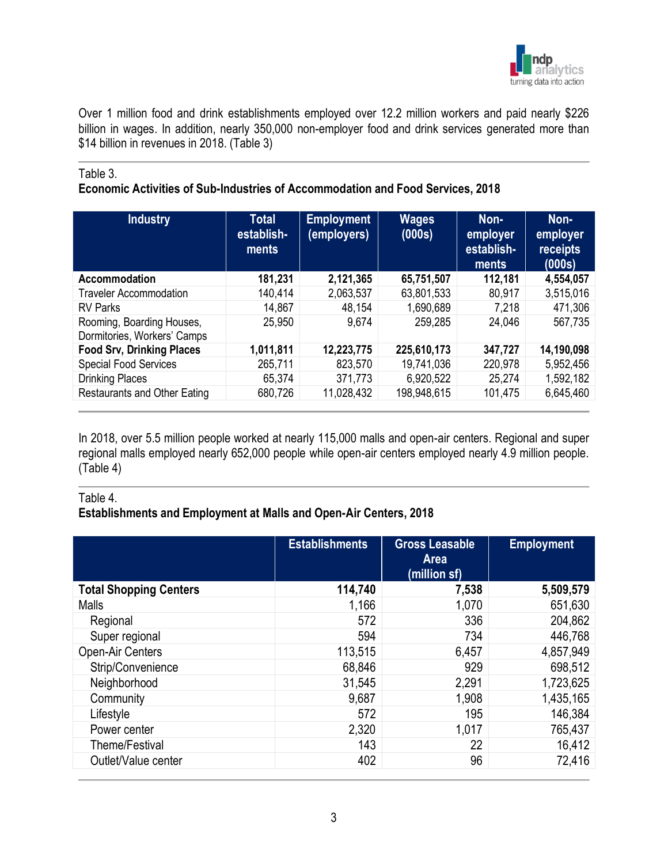

Over 1 million food and drink establishments employed over 12.2 million workers and paid nearly \$226 billion in wages. In addition, nearly 350,000 non-employer food and drink services generated more than \$14 billion in revenues in 2018. (Table 3)

#### Table 3.

# **Economic Activities of Sub-Industries of Accommodation and Food Services, 2018**

| <b>Industry</b>                                          | <b>Total</b><br>establish-<br>ments <sup>'</sup> | <b>Employment</b><br>(employers) | <b>Wages</b><br>(000s) | Non-<br>employer<br>establish-<br>ments | Non-<br>employer<br>receipts<br>(000s) |
|----------------------------------------------------------|--------------------------------------------------|----------------------------------|------------------------|-----------------------------------------|----------------------------------------|
| Accommodation                                            | 181,231                                          | 2,121,365                        | 65,751,507             | 112,181                                 | 4,554,057                              |
| <b>Traveler Accommodation</b>                            | 140,414                                          | 2,063,537                        | 63,801,533             | 80,917                                  | 3,515,016                              |
| <b>RV Parks</b>                                          | 14,867                                           | 48,154                           | 1,690,689              | 7,218                                   | 471,306                                |
| Rooming, Boarding Houses,<br>Dormitories, Workers' Camps | 25,950                                           | 9,674                            | 259,285                | 24,046                                  | 567,735                                |
| <b>Food Srv, Drinking Places</b>                         | 1,011,811                                        | 12,223,775                       | 225,610,173            | 347,727                                 | 14,190,098                             |
| <b>Special Food Services</b>                             | 265,711                                          | 823,570                          | 19,741,036             | 220,978                                 | 5,952,456                              |
| <b>Drinking Places</b>                                   | 65,374                                           | 371,773                          | 6,920,522              | 25,274                                  | 1,592,182                              |
| <b>Restaurants and Other Eating</b>                      | 680,726                                          | 11,028,432                       | 198,948,615            | 101,475                                 | 6,645,460                              |

In 2018, over 5.5 million people worked at nearly 115,000 malls and open-air centers. Regional and super regional malls employed nearly 652,000 people while open-air centers employed nearly 4.9 million people. (Table 4)

#### Table 4.

# **Establishments and Employment at Malls and Open-Air Centers, 2018**

|                               | <b>Establishments</b> | <b>Gross Leasable</b><br><b>Area</b><br>(million sf) | <b>Employment</b> |
|-------------------------------|-----------------------|------------------------------------------------------|-------------------|
| <b>Total Shopping Centers</b> | 114,740               | 7,538                                                | 5,509,579         |
| <b>Malls</b>                  | 1,166                 | 1,070                                                | 651,630           |
| Regional                      | 572                   | 336                                                  | 204,862           |
| Super regional                | 594                   | 734                                                  | 446,768           |
| Open-Air Centers              | 113,515               | 6,457                                                | 4,857,949         |
| Strip/Convenience             | 68,846                | 929                                                  | 698,512           |
| Neighborhood                  | 31,545                | 2,291                                                | 1,723,625         |
| Community                     | 9,687                 | 1,908                                                | 1,435,165         |
| Lifestyle                     | 572                   | 195                                                  | 146,384           |
| Power center                  | 2,320                 | 1,017                                                | 765,437           |
| Theme/Festival                | 143                   | 22                                                   | 16,412            |
| Outlet/Value center           | 402                   | 96                                                   | 72,416            |